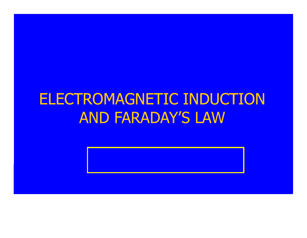### ELECTROMAGNETIC INDUCTION AND FARADAY'S LAW

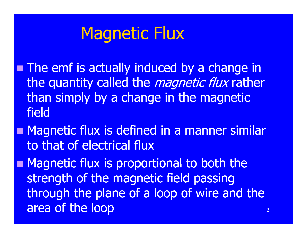## Magnetic Flux

**The emf is actually induced by a change in** the quantity called the *magnetic flux* rather than simply by a change in the magnetic field

**Nagnetic flux is defined in a manner similar** to that of electrical flux

**Magnetic flux is proportional to both the** strength of the magnetic field passing through the plane of a loop of wire and the area of the loop  $2^2$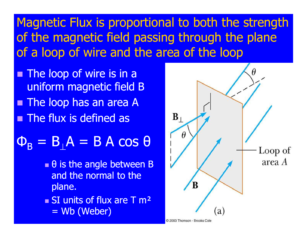#### Magnetic Flux is proportional to both the strength of the magnetic field passing through the plane of a loop of wire and the area of the loop

- **The loop of wire is in a** uniform magnetic field B **The loop has an area A The flux is defined as**
- $\mathsf{\Phi}_\mathsf{B} = \mathsf{B}_\perp \mathsf{A} = \mathsf{B} \; \mathsf{A} \; \mathsf{cos} \; \mathsf{\Theta}$ 
	- θ is the angle between B and the normal to the plane.
	- **SI** units of flux are T m<sup>2</sup>
		- = Wb (Weber)

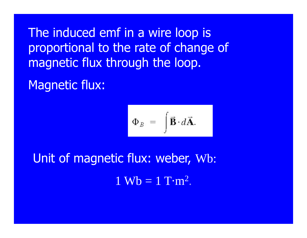The induced emf in a wire loop is proportional to the rate of change of magnetic flux through the loop.

Magnetic flux:

$$
\Phi_B = \int \vec{\mathbf{B}} \cdot d\vec{\mathbf{A}}.
$$

Unit of magnetic flux: weber, Wb:  $1 \text{ Wb} = 1 \text{ T} \cdot \text{m}^2$ .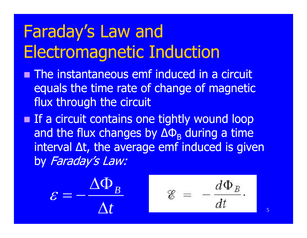## Faraday's Law and Electroma gnetic Induction

- **nd The instantaneous emf induced in a circuit** equals the time rate of change of magnetic flux through the circuit
- **If a circuit contains one tightly wound loop** and the flux changes by  $\Delta\Phi_{\rm B}$  during a time interval Δt, the average emf induced is given by Faraday's Law:

$$
\varepsilon = -\frac{\Delta \Phi_B}{\Delta t} \qquad \varepsilon = -\frac{d \Phi_B}{dt}
$$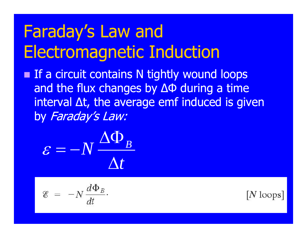# Faraday's Law and Electroma gnetic Induction

**If a circuit contains N tightly wound loops** and the flux changes by ΔΦ during a time interval  $\Delta t$ , the average emf induced is given by Faraday's Law:

$$
\varepsilon = -N \frac{\Delta \Phi_B}{\Delta t}
$$

$$
\mathcal{E} = -N \frac{d \Phi_B}{dt}
$$

 $|N|$ loops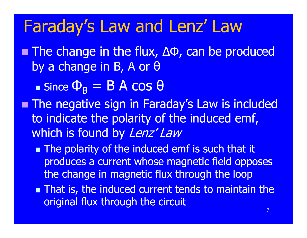## Faraday's Law and Lenz' Law

■ The change in the flux, ΔΦ, can be produced by a change in B, A or θ

 $\blacksquare$  Since  $\Phi_B = B A \cos \theta$ 

- **The negative sign in Faraday's Law is included Fig. 3** to indicate the polarity of the induced emf, which is found by Lenz' Law
	- **The polarity of the induced emf is such that it** produces a current whose magnetic field opposes the change in magnetic flux through the loop
	- **That is, the induced current tends to maintain the** original flux through the circuit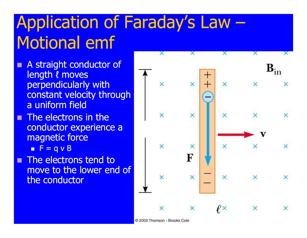# Application of Faraday's Law – Motional emf

- e<br>M A straight conductor of length ℓ moves perpendicularly with constant velocity through a uniform field
- П The electrons in the conductor experience a magnetic force
- $\blacksquare$  F = q v B П The electrons tend to move to the lower end of the conductor



© 2003 Thomson - Brooks Cole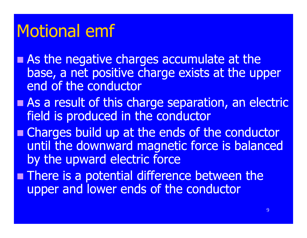## Motional emf

- **As the negative charges accumulate at the** base, a net positive charge exists at the upper end of the conductor
- **As a result of this charge separation, an electric example** field is produced in the conductor
- **Example Charges build up at the ends of the conductor** until the downward magnetic force is balanced by the upward electric force
- **There is a potential difference between the** upper and lower ends of the conductor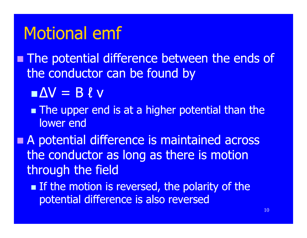### Motional emf

**The potential difference between the ends of** the conductor can be found by

 $\blacksquare$  $\Delta V = B \ell V$ 

**The upper end is at a higher potential than the** lower end

**A potential difference is maintained across** the conductor as long as there is motion through the field

**If the motion is reversed, the polarity of the** potential difference is also reversed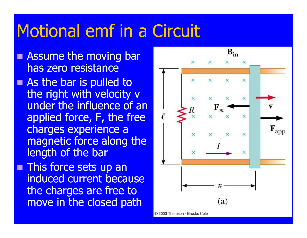## Motional emf in a Circuit

- **Assume the moving bare** has zero resistance
- **As the bar is pulled to a** the right with velocity v under the influence of an applied force, F, the free charges experience a magnetic force along the length of the bar
- **This force sets up an** induced current because the charges are free to **move in the closed path** (a)

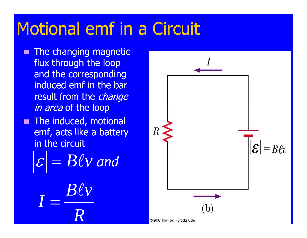## Motional emf in a Circuit

e<br>M The changing magnetic flux through the loop and the corresponding induced emf in the bar result from the *change in area* of the loop **The induced, motional** emf, acts like a battery

in the circuit

ε  $= B\ell v$  and





© 2003 Thomson - Brooks Cole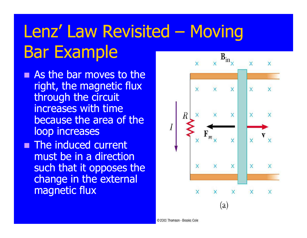# Lenz' Law Revisited – Moving Bar Example

- **As the bar moves to the** right, the magnetic flux through the circuit increases with time because the area of the loop increases
- **The induced current** must be in a direction such that it opposes the change in the external magnetic flux

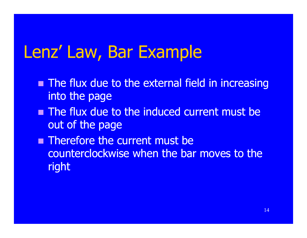## Lenz' Law, Bar Example

- **The flux due to the external field in increasing** into the page
- **The flux due to the induced current must be** out of the page
- **Therefore the current must be** counterclockwise when the bar moves to the right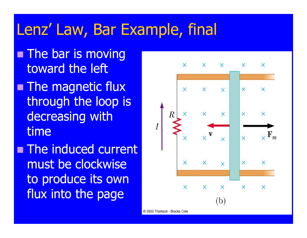### Lenz' Law, Bar Example, final

- **The bar is moving** toward the left
- **The magnetic flux** through the loop is decreasing with time
- **The induced current** must be clockwise to produce its own flux into the page



© 2003 Thomson - Brooks Cole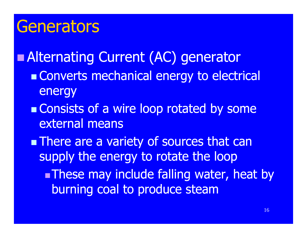#### Generators

 Alternating Current (AC) generator **Converts mechanical energy to electrical** energy **Consists of a wire loop rotated by some** external means **There are a variety of sources that can** supply the energy to rotate the loop **These may include falling water, heat by** burning coal to produce steam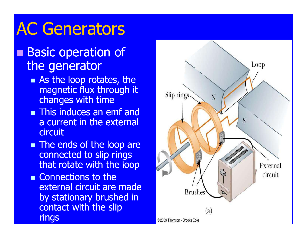## AC Generators

#### **Basic operation of** the generator

- **As the loop rotates, the** magnetic flux through it chan ges with time
- **This induces an emf and** a current in the external **circuit**
- **The ends of the loop are** connected to slip rings that rotate with the loop
- **Example Connections to the** external circuit are made by stationary brushed in contact with the slip rings

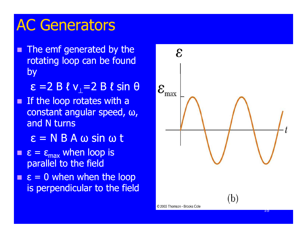### AC Generators

 $\blacksquare$ The emf generated by the rotating loop can be found by

ε =2 Β ℓ ν<sub>⊥</sub>=2 Β ℓ sin θ

- П **If the loop rotates with a** constant angular speed, ω, and N turns
	- ε = N B A ω sin ω t
- $\blacksquare$   $\varepsilon = \varepsilon_{\text{max}}$  when loop is parallel to the field
- **Service Service**  $\epsilon = 0$  when when the loop is perpendicular to the field

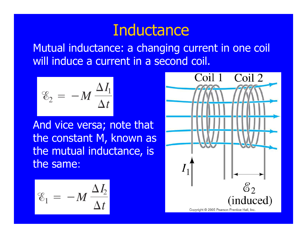#### **Inductance**

Mutual inductance: a changing current in one coil will induce a current in a second coil.

$$
\mathcal{E}_2 = -M \frac{\Delta I_1}{\Delta t}
$$

And vice versa; note that the constant M, known as the mutual inductance, is the same **:**

$$
\mathcal{E}_1 = -M \frac{\Delta I_2}{\Delta t}
$$

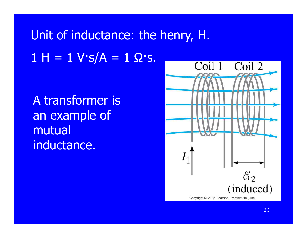## Unit of inductance: the henry, H.  $1$  H =  $1$  V·s/A =  $1$  Ω·s.

A transformer is an example of mutual inductance.

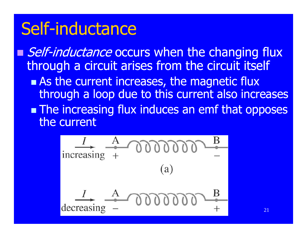### Self-inductance

Self-inductance occurs when the changing flux through a circuit arises from the circuit itself **As the current increases, the magnetic flux** through a loop due to this current also increases **The increasing flux induces an emf that opposes** the current

$$
\frac{I}{\text{increasing}} + \text{0000000} + \text{000000}
$$
\n
$$
\frac{I}{\text{decreasing}} - \text{0000000} + \text{00000}
$$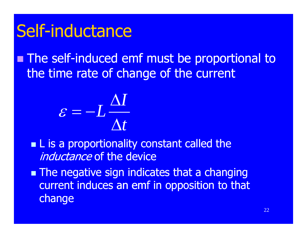## Self-inductance

**The self-induced emf must be proportional to the self-induced emf must be proportional to** the time rate of change of the current



**L** is a proportionality constant called the *inductance* of the device

**The negative sign indicates that a changing** current induces an emf in opposition to that change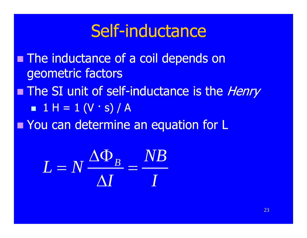## Self-inductance

**The inductance of a coil depends on** geometric factors **The SI unit of self-inductance is the Henry**  $\blacksquare$  1 H = 1 (V  $\cdot$  s) / A **Nou can determine an equation for L** 

> *B* $L = N \frac{\Delta \Phi_B}{\Delta E} = \frac{NB}{A}$ *I I* Δ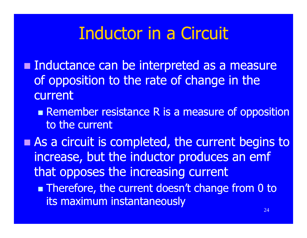## Inductor in a Circuit

- **Inductance can be interpreted as a measure** of opposition to the rate of chan ge in the current
	- **Remember resistance R is a measure of opposition** to the current
- **As a circuit is completed, the current begins to** increase, but the inductor produces an emf that opposes the increasin g current
	- **Therefore, the current doesn't change from 0 to** its maximum instantaneously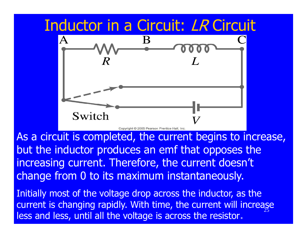# Inductor in a Circuit: LR Circuit  $\overline{A}$ Switch

As a circuit is completed, the current begins to increase, but the inductor produces an emf that opposes the increasing current. Therefore, the current doesn't change from 0 to its maximum instantaneously.

Initially most of the voltage drop across the inductor, as the current is changing rapidly. With time, the current will increase less and less, until all the voltage is across the resistor**.**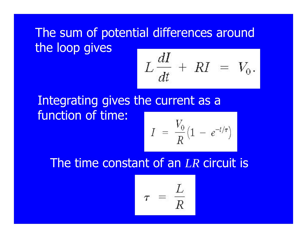#### The sum of potential differences around the loop gives

$$
L\frac{dI}{dt} + RI = V_0.
$$

#### Integrating gives the current as <sup>a</sup> function of time:

$$
I = \frac{V_0}{R} (1 - e^{-t/\tau})
$$

#### The time constant of an LR circuit is

$$
\tau \ = \ \frac{L}{R}
$$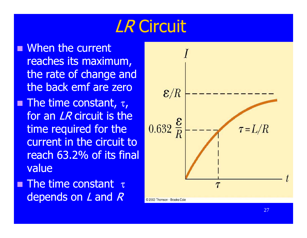## LR Circuit

**Nhen the current** reaches its maximum, the rate of change and the back emf are zero**The time constant,**  $\tau$ **,** for an *LR* circuit is the time required for the current in the circuit to reach 63.2% of its final value

**The time constant**  $\tau$ depends on  $L$  and  $R$ 

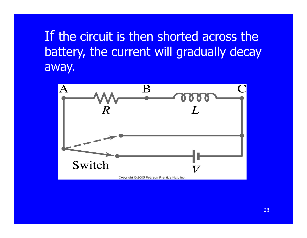#### If the circuit is then shorted across the battery, the current will gradually decay away.

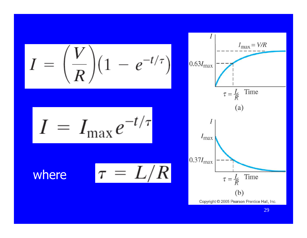$$
I = \left(\frac{V}{R}\right) \left(1 - e^{-t/\tau}\right)
$$

$$
I = I_{\text{max}} e^{-t/\tau}
$$

$$
\mathsf{here} \qquad \tau =
$$

wh

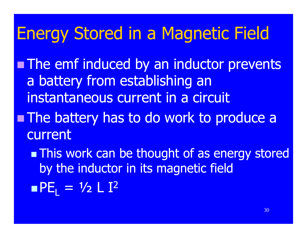## Energy Stored in a Magnetic Field

- **The emf induced by an inductor prevents** a battery from establishing an instantaneous current in a circuit
- **The battery has to do work to produce a** current
	- **This work can be thought of as energy stored** by the inductor in its magnetic field ■PE<sub>L</sub> = ½ L I<sup>2</sup>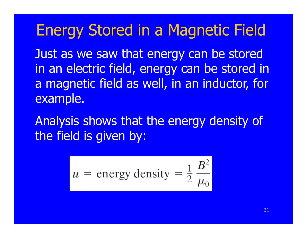#### Energy Stored in a Magnetic Field

Just as we saw that energy can be stored in an electric field, energy can be stored in a magnetic field as well, in an inductor, for exam ple.

Analysis shows that the energy density of the field is given by:

$$
u = \text{energy density} = \frac{1}{2} \frac{B^2}{\mu_0}
$$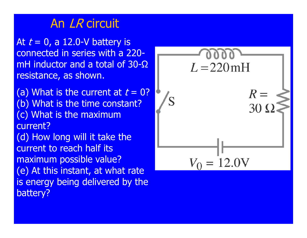#### An *LR* circuit

At  $t = 0$ , a 12.0-V battery is connected in series with a 220mH inductor and a total of 30-Ω resistance, as shown.

(a) What is the current at  $t = 0$ ? (b) What is the time constant? (c) What is the maximum current?

(d) How long will it take the current to reach half its maximum possible value? (e) At this instant, at what rate is energy being delivered by the battery?

 $L = 220$  mH  $R =$  $= 12.0V$  $V_{\Omega}$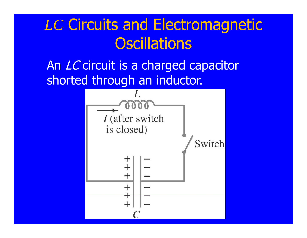## *LC* Circuits and Electromagnetic Oscillations

An LC circuit is a charged capacitor shorted through an inductor.

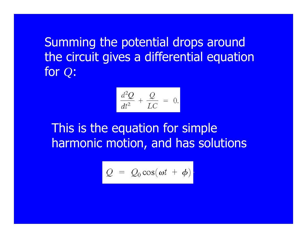Summing the potential drops around the circuit gives a differential equation for *Q*:

$$
\frac{d^2Q}{dt^2} + \frac{Q}{LC} = 0.
$$

This is the equation for simple harmonic motion, and has solutions

$$
Q = Q_0 \cos(\omega t + \phi)
$$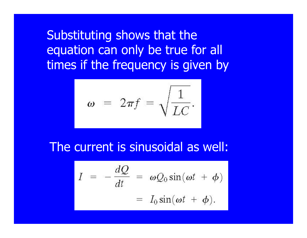Substituting shows that the equation can only be true for all times if the frequency is given by

$$
\omega = 2\pi f = \sqrt{\frac{1}{LC}}.
$$

#### The current is sinusoidal as well:

$$
I = -\frac{dQ}{dt} = \omega Q_0 \sin(\omega t + \phi)
$$
  
=  $I_0 \sin(\omega t + \phi)$ .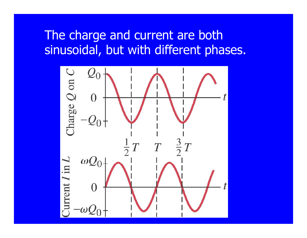#### The charge and current are both sinusoidal, but with different phases.

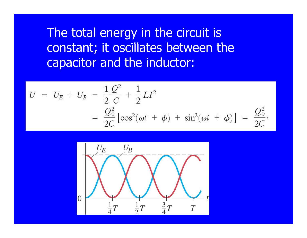The total energy in the circuit is constant; it oscillates between the capacitor and the inductor:

$$
U = U_E + U_B = \frac{1}{2} \frac{Q^2}{C} + \frac{1}{2} L I^2
$$
  
=  $\frac{Q_0^2}{2C} [\cos^2(\omega t + \phi) + \sin^2(\omega t + \phi)] = \frac{Q_0^2}{2C}.$ 

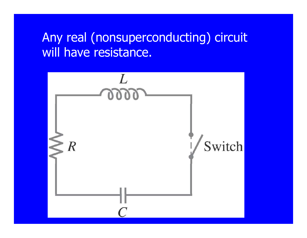#### Any real (nonsuperconducting) circuit will have resistance.

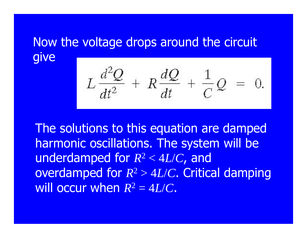#### Now the voltage drops around the circuit give

$$
L\frac{d^2Q}{dt^2} + R\frac{dQ}{dt} + \frac{1}{C}Q = 0.
$$

The solutions to this equation are damped harmonic oscillations. The system will be underdam ped for *R* 2 ped for  $R^2 < 4L/C$ , and overdamped for *R* 2 > 4 *L*/ *C*. Critical damping will occur when  $R^2 = 4L/C$ .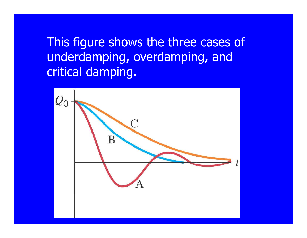This figure shows the three cases of underdamping, overdamping, and critical damping.

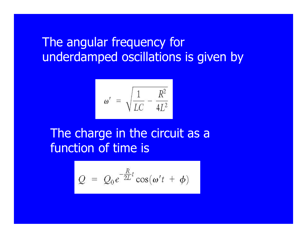#### The angular frequency for underdamped oscillations is given by

$$
\omega' = \sqrt{\frac{1}{LC} - \frac{R^2}{4L^2}}
$$

#### The charge in the circuit as <sup>a</sup> function of time is

$$
Q = Q_0 e^{-\frac{R}{2L}t} \cos(\omega' t + \phi)
$$